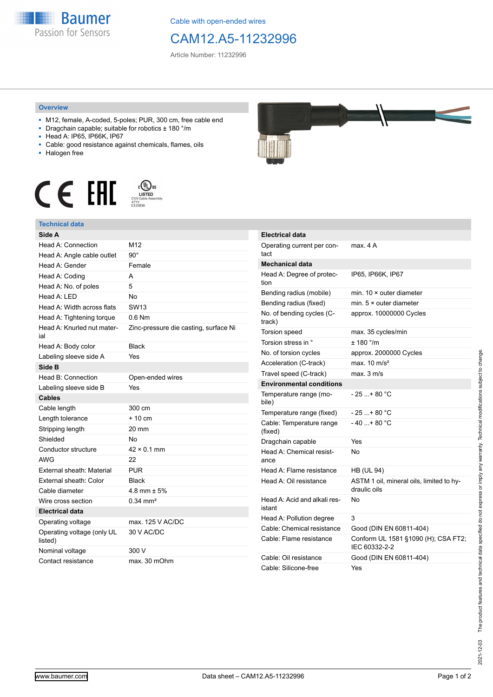

Cable with open-ended wires

## CAM12.A5-11232996

Article Number: 11232996

## **Overview**

- M12, female, A-coded, 5-poles; PUR, 300 cm, free cable end
- Dragchain capable; suitable for robotics ± 180 °/m
- Head A: IP65, IP66K, IP67
- Cable: good resistance against chemicals, flames, oils
- Halogen free





## **Technical data**

| Side A                                |                                       |
|---------------------------------------|---------------------------------------|
| Head A: Connection                    | M12                                   |
| Head A: Angle cable outlet            | $90^{\circ}$                          |
| Head A: Gender                        | Female                                |
| Head A: Coding                        | A                                     |
| Head A: No. of poles                  | 5                                     |
| Head A: LED                           | Nο                                    |
| Head A: Width across flats            | <b>SW13</b>                           |
| Head A: Tightening torque             | $0.6$ Nm                              |
| Head A: Knurled nut mater-<br>ial     | Zinc-pressure die casting, surface Ni |
| Head A: Body color                    | <b>Black</b>                          |
| Labeling sleeve side A                | Yes                                   |
| Side B                                |                                       |
| Head B: Connection                    | Open-ended wires                      |
| Labeling sleeve side B                | Yes                                   |
| Cables                                |                                       |
| Cable length                          | 300 cm                                |
| Length tolerance                      | $+10 \text{ cm}$                      |
| Stripping length                      | 20 mm                                 |
| Shielded                              | No                                    |
| Conductor structure                   | $42 \times 0.1$ mm                    |
| <b>AWG</b>                            | 22                                    |
| External sheath: Material             | <b>PUR</b>                            |
| External sheath: Color                | <b>Black</b>                          |
| Cable diameter                        | 4.8 mm $\pm$ 5%                       |
| Wire cross section                    | $0.34$ mm <sup>2</sup>                |
| <b>Electrical data</b>                |                                       |
| Operating voltage                     | max. 125 V AC/DC                      |
| Operating voltage (only UL<br>listed) | 30 V AC/DC                            |
| Nominal voltage                       | 300 V                                 |
| Contact resistance                    | max. 30 mOhm                          |



| <b>Electrical data</b>                 |                                                          |
|----------------------------------------|----------------------------------------------------------|
| Operating current per con-<br>tact     | max 4 A                                                  |
| <b>Mechanical data</b>                 |                                                          |
| Head A: Degree of protec-<br>tion      | IP65, IP66K, IP67                                        |
| Bending radius (mobile)                | min. $10 \times$ outer diameter                          |
| Bending radius (fixed)                 | min. $5 \times$ outer diameter                           |
| No. of bending cycles (C-<br>track)    | approx. 10000000 Cycles                                  |
| Torsion speed                          | max. 35 cycles/min                                       |
| Torsion stress in °                    | ± 180 °/m                                                |
| No. of torsion cycles                  | approx. 2000000 Cycles                                   |
| Acceleration (C-track)                 | max. $10 \text{ m/s}^2$                                  |
| Travel speed (C-track)                 | max. 3 m/s                                               |
| <b>Environmental conditions</b>        |                                                          |
| Temperature range (mo-<br>bile)        | - 25 + 80 °C                                             |
| Temperature range (fixed)              | - 25 + 80 °C                                             |
| Cable: Temperature range<br>(fixed)    | $-40+80 °C$                                              |
| Dragchain capable                      | Yes                                                      |
| Head A: Chemical resist-<br>ance       | N٥                                                       |
| Head A: Flame resistance               | <b>HB (UL 94)</b>                                        |
| Head A: Oil resistance                 | ASTM 1 oil, mineral oils, limited to hy-<br>draulic oils |
| Head A: Acid and alkali res-<br>istant | No                                                       |
| Head A: Pollution degree               | 3                                                        |
| Cable: Chemical resistance             | Good (DIN EN 60811-404)                                  |
| Cable: Flame resistance                | Conform UL 1581 §1090 (H); CSA FT2;<br>IEC 60332-2-2     |
| Cable: Oil resistance                  | Good (DIN EN 60811-404)                                  |
| Cable: Silicone-free                   | Yes                                                      |